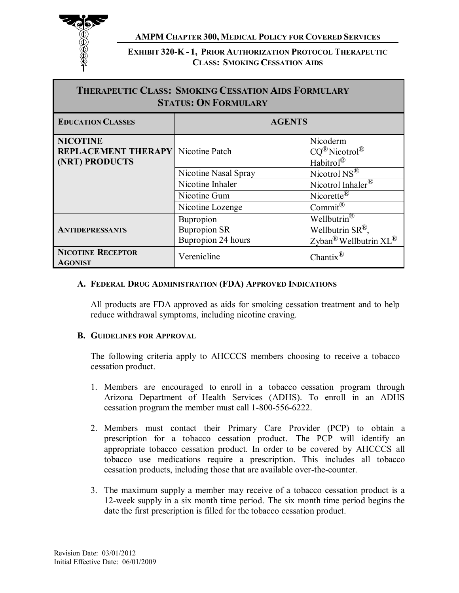

**EXHIBIT 320-K - 1, PRIOR AUTHORIZATION PROTOCOL THERAPEUTIC CLASS: SMOKING CESSATION AIDS**

| <b>THERAPEUTIC CLASS: SMOKING CESSATION AIDS FORMULARY</b><br><b>STATUS: ON FORMULARY</b> |                                                               |                                                                                                   |  |
|-------------------------------------------------------------------------------------------|---------------------------------------------------------------|---------------------------------------------------------------------------------------------------|--|
| <b>EDUCATION CLASSES</b>                                                                  | <b>AGENTS</b>                                                 |                                                                                                   |  |
| <b>NICOTINE</b><br><b>REPLACEMENT THERAPY</b> Nicotine Patch<br>(NRT) PRODUCTS            |                                                               | Nicoderm<br>$CQ^{\textcircled{R}}$ Nicotrol $^{\textcircled{R}}$<br>Habitrol <sup>®</sup>         |  |
|                                                                                           | Nicotine Nasal Spray                                          | Nicotrol NS <sup>®</sup>                                                                          |  |
|                                                                                           | Nicotine Inhaler                                              | Nicotrol Inhaler <sup>®</sup>                                                                     |  |
|                                                                                           | Nicotine Gum                                                  | Nicorette <sup><math>\mathbb{R}</math></sup>                                                      |  |
|                                                                                           | Nicotine Lozenge                                              | Commit <sup><math>\circledR</math></sup>                                                          |  |
| <b>ANTIDEPRESSANTS</b>                                                                    | <b>Bupropion</b><br><b>Bupropion SR</b><br>Bupropion 24 hours | Wellbutrin <sup>®</sup><br>Wellbutrin $SR^{\mathbb{B}}$ ,<br>Zyban <sup>®</sup> Wellbutrin $XL^®$ |  |
| <b>NICOTINE RECEPTOR</b><br><b>AGONIST</b>                                                | Verenicline                                                   | Chantix $^{\circledR}$                                                                            |  |

#### **A. FEDERAL DRUG ADMINISTRATION (FDA) APPROVED INDICATIONS**

 All products are FDA approved as aids for smoking cessation treatment and to help reduce withdrawal symptoms, including nicotine craving.

#### **B. GUIDELINES FOR APPROVAL**

 The following criteria apply to AHCCCS members choosing to receive a tobacco cessation product.

- 1. Members are encouraged to enroll in a tobacco cessation program through Arizona Department of Health Services (ADHS). To enroll in an ADHS cessation program the member must call 1-800-556-6222.
- 2. Members must contact their Primary Care Provider (PCP) to obtain a prescription for a tobacco cessation product. The PCP will identify an appropriate tobacco cessation product. In order to be covered by AHCCCS all tobacco use medications require a prescription. This includes all tobacco cessation products, including those that are available over-the-counter.
- 3. The maximum supply a member may receive of a tobacco cessation product is a 12-week supply in a six month time period. The six month time period begins the date the first prescription is filled for the tobacco cessation product.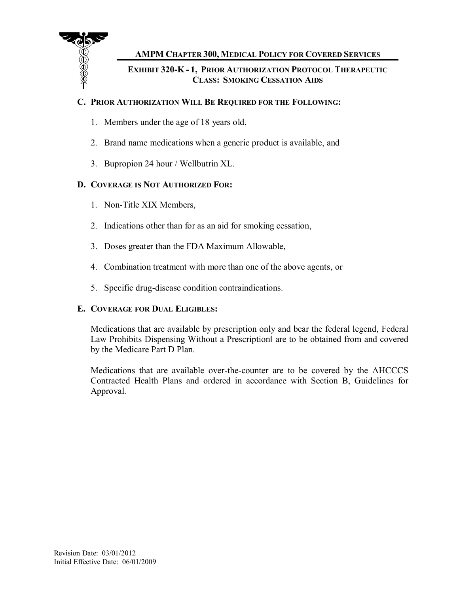

 **CLASS: SMOKING CESSATION AIDS EXHIBIT 320-K - 1, PRIOR AUTHORIZATION PROTOCOL THERAPEUTIC** 

## **C. PRIOR AUTHORIZATION WILL BE REQUIRED FOR THE FOLLOWING:**

- 1. Members under the age of 18 years old,
- 2. Brand name medications when a generic product is available, and
- 3. Bupropion 24 hour / Wellbutrin XL.

# **D. COVERAGE IS NOT AUTHORIZED FOR:**

- 1. Non-Title XIX Members,
- 2. Indications other than for as an aid for smoking cessation,
- 3. Doses greater than the FDA Maximum Allowable,
- 4. Combination treatment with more than one of the above agents, or
- 5. Specific drug-disease condition contraindications.

### **E. COVERAGE FOR DUAL ELIGIBLES:**

 Medications that are available by prescription only and bear the federal legend, Federal Law Prohibits Dispensing Without a Prescription‖ are to be obtained from and covered by the Medicare Part D Plan.

 Medications that are available over-the-counter are to be covered by the AHCCCS Contracted Health Plans and ordered in accordance with Section B, Guidelines for Approval.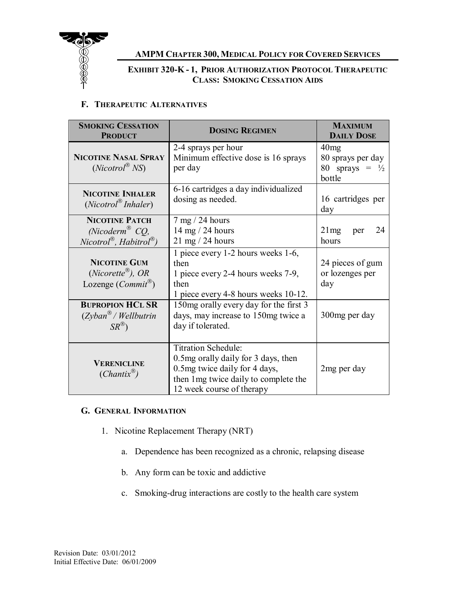

## **CLASS: SMOKING CESSATION AIDS EXHIBIT 320-K - 1, PRIOR AUTHORIZATION PROTOCOL THERAPEUTIC**

### **F. THERAPEUTIC ALTERNATIVES**

| <b>SMOKING CESSATION</b><br><b>PRODUCT</b>                                                                    | <b>DOSING REGIMEN</b>                                                                                                                                                      | <b>MAXIMUM</b><br><b>DAILY DOSE</b>                              |
|---------------------------------------------------------------------------------------------------------------|----------------------------------------------------------------------------------------------------------------------------------------------------------------------------|------------------------------------------------------------------|
| <b>NICOTINE NASAL SPRAY</b><br>$(Nicotrol^{\otimes} NS)$                                                      | 2-4 sprays per hour<br>Minimum effective dose is 16 sprays<br>per day                                                                                                      | 40mg<br>80 sprays per day<br>80 sprays = $\frac{1}{2}$<br>bottle |
| <b>NICOTINE INHALER</b><br>$(Nicotrol^{\otimes} Inhaler)$                                                     | 6-16 cartridges a day individualized<br>dosing as needed.                                                                                                                  | 16 cartridges per<br>day                                         |
| <b>NICOTINE PATCH</b><br>(Nicoderm <sup>®</sup> CQ,<br>$Nicotrol^{\mathcal{B}}$ , Habitrol $^{\mathcal{B}}$ ) | $7 \text{ mg} / 24 \text{ hours}$<br>14 mg $/$ 24 hours<br>$21 \text{ mg} / 24 \text{ hours}$                                                                              | 21mg<br>24<br>per<br>hours                                       |
| <b>NICOTINE GUM</b><br>$(Nicorette^{\mathcal{B}})$ , OR<br>Lozenge $(Commit^{\circledR})$                     | 1 piece every 1-2 hours weeks 1-6,<br>then<br>1 piece every 2-4 hours weeks 7-9,<br>then<br>1 piece every 4-8 hours weeks 10-12.                                           | 24 pieces of gum<br>or lozenges per<br>day                       |
| <b>BUPROPION HCL SR</b><br>$(Zyban^{\mathfrak{B}}/Wellbutrin)$<br>$SR^{\circledR}$                            | 150mg orally every day for the first 3<br>days, may increase to 150mg twice a<br>day if tolerated.                                                                         | 300mg per day                                                    |
| <b>VERENICLINE</b><br>$(Chantix^{\otimes})$                                                                   | <b>Titration Schedule:</b><br>0.5 mg orally daily for 3 days, then<br>0.5 mg twice daily for 4 days,<br>then 1 mg twice daily to complete the<br>12 week course of therapy | 2 <sub>mg</sub> per day                                          |

#### **G. GENERAL INFORMATION**

- 1. Nicotine Replacement Therapy (NRT)
	- a. Dependence has been recognized as a chronic, relapsing disease
	- b. Any form can be toxic and addictive
	- c. Smoking-drug interactions are costly to the health care system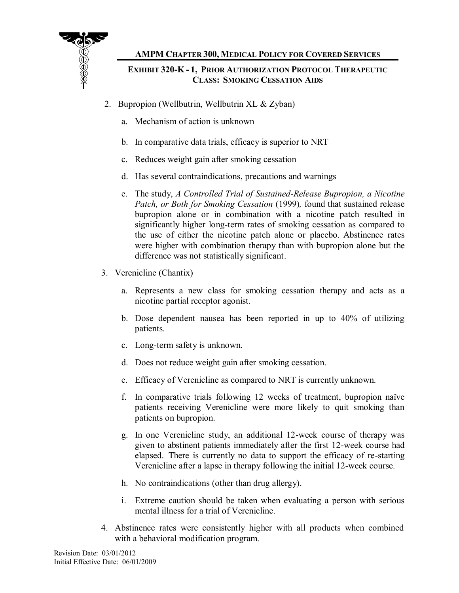

## **CLASS: SMOKING CESSATION AIDS EXHIBIT 320-K - 1, PRIOR AUTHORIZATION PROTOCOL THERAPEUTIC**

- 2. Bupropion (Wellbutrin, Wellbutrin XL & Zyban)
	- a. Mechanism of action is unknown
	- b. In comparative data trials, efficacy is superior to NRT
	- c. Reduces weight gain after smoking cessation
	- d. Has several contraindications, precautions and warnings
	- e. The study, *A Controlled Trial of Sustained-Release Bupropion, a Nicotine Patch, or Both for Smoking Cessation* (1999)*,* found that sustained release bupropion alone or in combination with a nicotine patch resulted in significantly higher long-term rates of smoking cessation as compared to the use of either the nicotine patch alone or placebo. Abstinence rates were higher with combination therapy than with bupropion alone but the difference was not statistically significant.
- 3. Verenicline (Chantix)
	- a. Represents a new class for smoking cessation therapy and acts as a nicotine partial receptor agonist.
	- b. Dose dependent nausea has been reported in up to 40% of utilizing patients.
	- c. Long-term safety is unknown.
	- d. Does not reduce weight gain after smoking cessation.
	- e. Efficacy of Verenicline as compared to NRT is currently unknown.
	- f. In comparative trials following 12 weeks of treatment, bupropion naïve patients receiving Verenicline were more likely to quit smoking than patients on bupropion.
	- g. In one Verenicline study, an additional 12-week course of therapy was given to abstinent patients immediately after the first 12-week course had elapsed. There is currently no data to support the efficacy of re-starting Verenicline after a lapse in therapy following the initial 12-week course.
	- h. No contraindications (other than drug allergy).
	- i. Extreme caution should be taken when evaluating a person with serious mental illness for a trial of Verenicline.
- 4. Abstinence rates were consistently higher with all products when combined with a behavioral modification program.